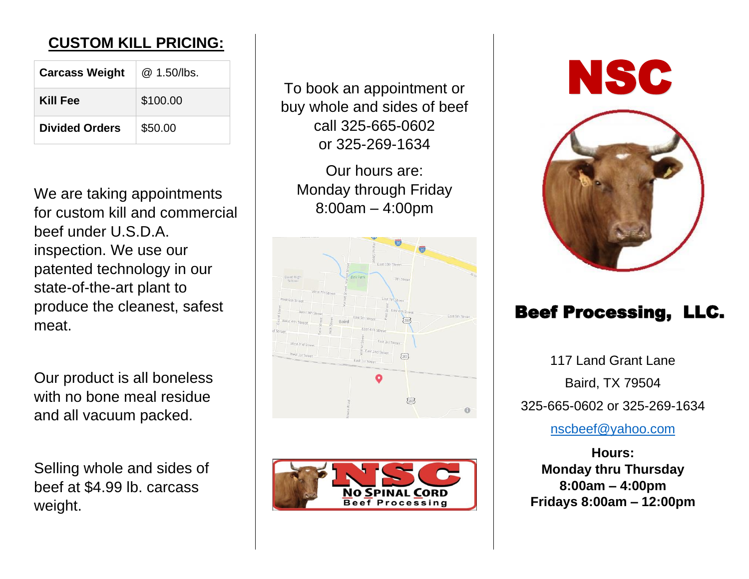## **CUSTOM KILL PRICING:**

| <b>Carcass Weight</b> | @ 1.50/lbs. |
|-----------------------|-------------|
| Kill Fee              | \$100.00    |
| <b>Divided Orders</b> | \$50.00     |

We are taking appointments for custom kill and commercial beef under U.S.D.A. inspection. We use our patented technology in our state-of-the-art plant to produce the cleanest, safest meat.

Our product is all boneless with no bone meal residue and all vacuum packed.

Selling whole and sides of beef at \$4.99 lb. carcass weight.

To book an appointment or buy whole and sides of beef call 325-665-0602 or 325-269-1634

Our hours are: Monday through Friday 8:00am – 4:00pm







# Beef Processing, LLC.

117 Land Grant Lane Baird, TX 79504 325-665-0602 or 325-269-1634

<nscbeef@yahoo.com>

**Hours: Monday thru Thursday 8:00am – 4:00pm Fridays 8:00am – 12:00pm**